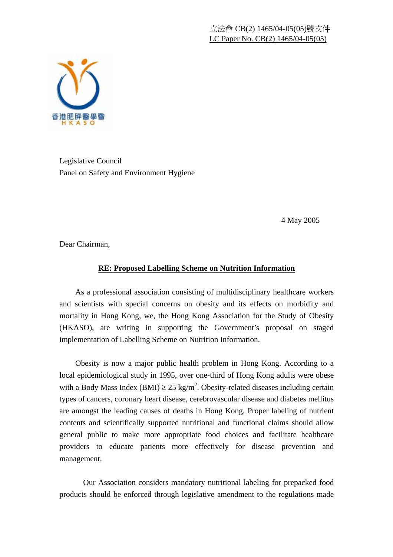

Legislative Council Panel on Safety and Environment Hygiene

4 May 2005

Dear Chairman,

## **RE: Proposed Labelling Scheme on Nutrition Information**

 As a professional association consisting of multidisciplinary healthcare workers and scientists with special concerns on obesity and its effects on morbidity and mortality in Hong Kong, we, the Hong Kong Association for the Study of Obesity (HKASO), are writing in supporting the Government's proposal on staged implementation of Labelling Scheme on Nutrition Information.

 Obesity is now a major public health problem in Hong Kong. According to a local epidemiological study in 1995, over one-third of Hong Kong adults were obese with a Body Mass Index (BMI)  $\geq$  25 kg/m<sup>2</sup>. Obesity-related diseases including certain types of cancers, coronary heart disease, cerebrovascular disease and diabetes mellitus are amongst the leading causes of deaths in Hong Kong. Proper labeling of nutrient contents and scientifically supported nutritional and functional claims should allow general public to make more appropriate food choices and facilitate healthcare providers to educate patients more effectively for disease prevention and management.

Our Association considers mandatory nutritional labeling for prepacked food products should be enforced through legislative amendment to the regulations made